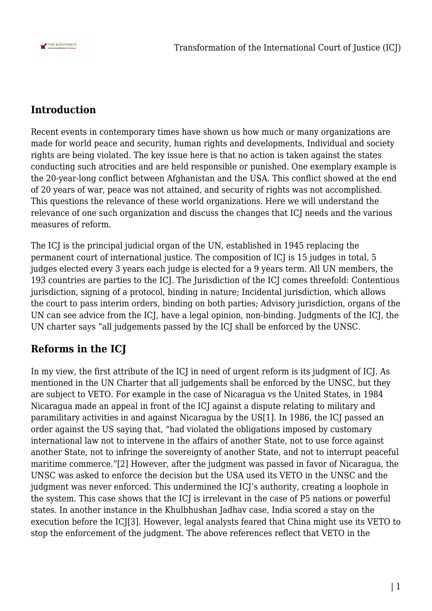

## **Introduction**

Recent events in contemporary times have shown us how much or many organizations are made for world peace and security, human rights and developments, Individual and society rights are being violated. The key issue here is that no action is taken against the states conducting such atrocities and are held responsible or punished. One exemplary example is the 20-year-long conflict between Afghanistan and the USA. This conflict showed at the end of 20 years of war, peace was not attained, and security of rights was not accomplished. This questions the relevance of these world organizations. Here we will understand the relevance of one such organization and discuss the changes that ICJ needs and the various measures of reform.

The ICJ is the principal judicial organ of the UN, established in 1945 replacing the permanent court of international justice. The composition of ICJ is 15 judges in total, 5 judges elected every 3 years each judge is elected for a 9 years term. All UN members, the 193 countries are parties to the ICJ. The Jurisdiction of the ICJ comes threefold: Contentious jurisdiction, signing of a protocol, binding in nature; Incidental jurisdiction, which allows the court to pass interim orders, binding on both parties; Advisory jurisdiction, organs of the UN can see advice from the ICJ, have a legal opinion, non-binding. Judgments of the ICJ, the UN charter says "all judgements passed by the ICJ shall be enforced by the UNSC.

## **Reforms in the ICJ**

In my view, the first attribute of the ICJ in need of urgent reform is its judgment of ICJ. As mentioned in the UN Charter that all judgements shall be enforced by the UNSC, but they are subject to VETO. For example in the case of Nicaragua vs the United States, in 1984 Nicaragua made an appeal in front of the ICJ against a dispute relating to military and paramilitary activities in and against Nicaragua by the US[1]. In 1986, the ICJ passed an order against the US saying that, "had violated the obligations imposed by customary international law not to intervene in the affairs of another State, not to use force against another State, not to infringe the sovereignty of another State, and not to interrupt peaceful maritime commerce."[2] However, after the judgment was passed in favor of Nicaragua, the UNSC was asked to enforce the decision but the USA used its VETO in the UNSC and the judgment was never enforced. This undermined the ICJ's authority, creating a loophole in the system. This case shows that the ICJ is irrelevant in the case of P5 nations or powerful states. In another instance in the Khulbhushan Jadhav case, India scored a stay on the execution before the ICJ[3]. However, legal analysts feared that China might use its VETO to stop the enforcement of the judgment. The above references reflect that VETO in the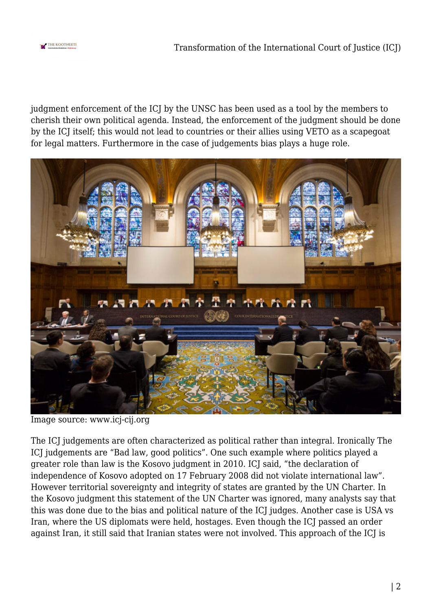

judgment enforcement of the ICJ by the UNSC has been used as a tool by the members to cherish their own political agenda. Instead, the enforcement of the judgment should be done by the ICJ itself; this would not lead to countries or their allies using VETO as a scapegoat for legal matters. Furthermore in the case of judgements bias plays a huge role.



Image source: www.icj-cij.org

The ICJ judgements are often characterized as political rather than integral. Ironically The ICJ judgements are "Bad law, good politics". One such example where politics played a greater role than law is the Kosovo judgment in 2010. ICJ said, "the declaration of independence of Kosovo adopted on 17 February 2008 did not violate international law". However territorial sovereignty and integrity of states are granted by the UN Charter. In the Kosovo judgment this statement of the UN Charter was ignored, many analysts say that this was done due to the bias and political nature of the ICJ judges. Another case is USA vs Iran, where the US diplomats were held, hostages. Even though the ICJ passed an order against Iran, it still said that Iranian states were not involved. This approach of the ICJ is